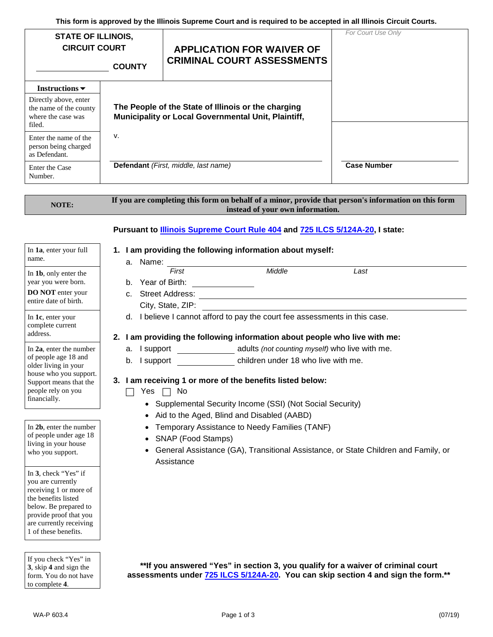**This form is approved by the Illinois Supreme Court and is required to be accepted in all Illinois Circuit Courts.**

| <b>STATE OF ILLINOIS,</b><br><b>CIRCUIT COURT</b><br><b>COUNTY</b>                                                    |                                                                                                            | <b>APPLICATION FOR WAIVER OF</b><br><b>CRIMINAL COURT ASSESSMENTS</b> | For Court Use Only |
|-----------------------------------------------------------------------------------------------------------------------|------------------------------------------------------------------------------------------------------------|-----------------------------------------------------------------------|--------------------|
| Instructions $\blacktriangleright$<br>Directly above, enter<br>the name of the county<br>where the case was<br>filed. | The People of the State of Illinois or the charging<br>Municipality or Local Governmental Unit, Plaintiff, |                                                                       |                    |
| Enter the name of the<br>person being charged<br>as Defendant.<br>Enter the Case<br>Number.                           | v.                                                                                                         | Defendant (First, middle, last name)                                  | <b>Case Number</b> |

### **NOTE: If you are completing this form on behalf of a minor, provide that person's information on this form instead of your own information.**

# **Pursuant to Illinois Supreme Court Rule 404 and 725 ILCS 5/124A-20, I state:**

### In **1a**, enter your full name.

# **1. I am providing the following information about myself:**

| In 1 <b>b</b> , only enter the |
|--------------------------------|
| year you were born.            |

**DO NOT** enter your entire date of birth.

In **1c**, enter your complete current address.

In **2a**, enter the number of people age 18 and older living in your house who you support. Support means that the people rely on you financially.

In **2b**, enter the number of people under age 18 living in your house who you support.

In **3**, check "Yes" if you are currently receiving 1 or more of the benefits listed below. Be prepared to provide proof that you are currently receiving 1 of these benefits.

If you check "Yes" in **3**, skip **4** and sign the form. You do not have to complete **4**.

a. Name:

| u. 1901110.       |        |      |
|-------------------|--------|------|
| First             | Middle | Last |
| b. Year of Birth: |        |      |

- c. Street Address: City, State, ZIP:
- d. I believe I cannot afford to pay the court fee assessments in this case.

# **2. I am providing the following information about people who live with me:**

- a. I support adults *(not counting myself)* who live with me.
- b. I support children under 18 who live with me.

# **3. I am receiving 1 or more of the benefits listed below:**

- $\Box$  Yes  $\Box$  No
	- Supplemental Security Income (SSI) (Not Social Security)
	- Aid to the Aged, Blind and Disabled (AABD)
	- Temporary Assistance to Needy Families (TANF)
	- SNAP (Food Stamps)
	- General Assistance (GA), Transitional Assistance, or State Children and Family, or Assistance

**\*\*If you answered "Yes" in section 3, you qualify for a waiver of criminal court assessments under 725 ILCS 5/124A-20. You can skip section 4 and sign the form.\*\***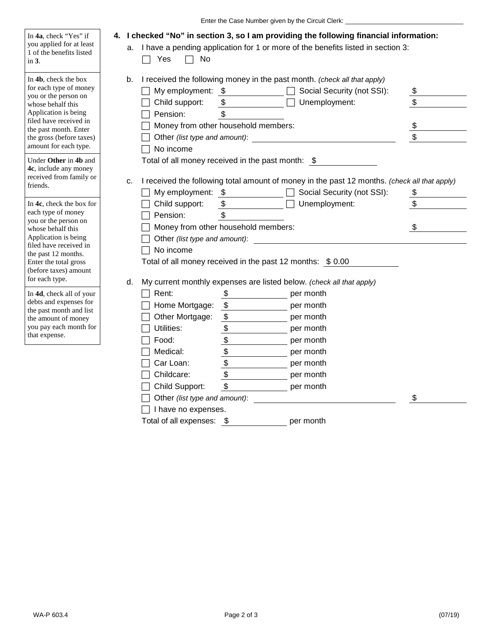|                                                                                                                                                                                                                                          | Enter the Case Number given by the Circuit Clerk:                                                                                                                                                                                                                                        |                                                                        |
|------------------------------------------------------------------------------------------------------------------------------------------------------------------------------------------------------------------------------------------|------------------------------------------------------------------------------------------------------------------------------------------------------------------------------------------------------------------------------------------------------------------------------------------|------------------------------------------------------------------------|
| In 4a, check "Yes" if<br>you applied for at least<br>1 of the benefits listed<br>in $3$ .                                                                                                                                                | 4. I checked "No" in section 3, so I am providing the following financial information:<br>a. I have a pending application for 1 or more of the benefits listed in section 3:<br>No<br>Yes                                                                                                |                                                                        |
| In 4b, check the box<br>for each type of money<br>you or the person on<br>whose behalf this                                                                                                                                              | b.<br>I received the following money in the past month. (check all that apply)<br>My employment: \$<br>Social Security (not SSI):<br>Child support:<br>\$<br>Unemployment:                                                                                                               | \$<br>\$                                                               |
| Application is being<br>filed have received in<br>the past month. Enter<br>the gross (before taxes)<br>amount for each type.                                                                                                             | \$<br>Pension:<br>Money from other household members:<br>Other (list type and amount):<br>No income                                                                                                                                                                                      | $\frac{1}{2}$<br>\$                                                    |
| Under Other in 4b and<br>4c, include any money<br>received from family or<br>friends.                                                                                                                                                    | Total of all money received in the past month: \$<br>I received the following total amount of money in the past 12 months. (check all that apply)<br>c.<br>Social Security (not SSI):<br>My employment: \$                                                                               | $\frac{1}{2}$                                                          |
| In 4c, check the box for<br>each type of money<br>you or the person on<br>whose behalf this<br>Application is being<br>filed have received in<br>the past 12 months.<br>Enter the total gross<br>(before taxes) amount<br>for each type. | Unemployment:<br>Child support:<br>\$<br>Pension:<br>\$<br>Money from other household members:<br>Other (list type and amount):<br>No income<br>Total of all money received in the past 12 months: \$ 0.00<br>My current monthly expenses are listed below. (check all that apply)<br>d. | $\, \, \raisebox{12pt}{$\scriptstyle \$}$<br>$\boldsymbol{\mathsf{S}}$ |
| In 4d, check all of your<br>debts and expenses for<br>the past month and list<br>the amount of money<br>you pay each month for<br>that expense.                                                                                          | Rent:<br>\$<br>per month<br>$\boldsymbol{\mathsf{S}}$<br>Home Mortgage:<br>per month<br>$\boldsymbol{\mathsf{\$}}$<br>Other Mortgage:<br>per month<br>\$<br>Utilities:<br>per month<br>\$<br>Food:<br>per month<br>\$<br>Medical:<br>per month                                           |                                                                        |
|                                                                                                                                                                                                                                          | \$<br>Car Loan:<br>per month<br>\$<br>Childcare:<br>per month<br>$\boldsymbol{\mathsf{\$}}$<br>Child Support:<br>per month<br>Other (list type and amount):<br>I have no expenses.                                                                                                       | \$                                                                     |

Total of all expenses:  $\, \$$   $\,$ per month